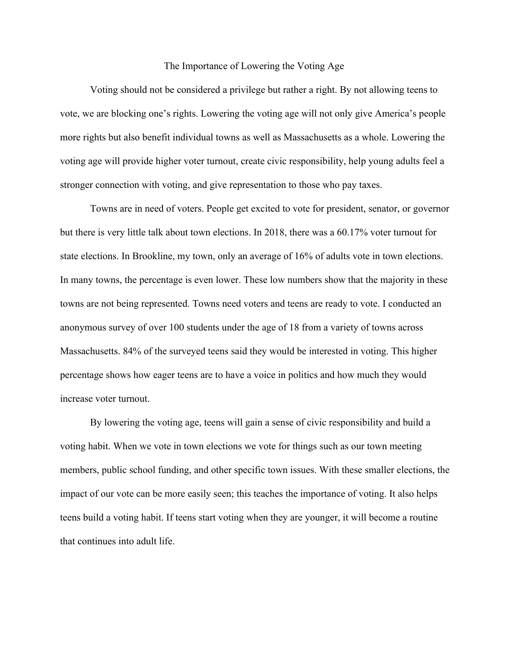## The Importance of Lowering the Voting Age

Voting should not be considered a privilege but rather a right. By not allowing teens to vote, we are blocking one's rights. Lowering the voting age will not only give America's people more rights but also benefit individual towns as well as Massachusetts as a whole. Lowering the voting age will provide higher voter turnout, create civic responsibility, help young adults feel a stronger connection with voting, and give representation to those who pay taxes.

Towns are in need of voters. People get excited to vote for president, senator, or governor but there is very little talk about town elections. In 2018, there was a 60.17% voter turnout for state elections. In Brookline, my town, only an average of 16% of adults vote in town elections. In many towns, the percentage is even lower. These low numbers show that the majority in these towns are not being represented. Towns need voters and teens are ready to vote. I conducted an anonymous survey of over 100 students under the age of 18 from a variety of towns across Massachusetts. 84% of the surveyed teens said they would be interested in voting. This higher percentage shows how eager teens are to have a voice in politics and how much they would increase voter turnout.

By lowering the voting age, teens will gain a sense of civic responsibility and build a voting habit. When we vote in town elections we vote for things such as our town meeting members, public school funding, and other specific town issues. With these smaller elections, the impact of our vote can be more easily seen; this teaches the importance of voting. It also helps teens build a voting habit. If teens start voting when they are younger, it will become a routine that continues into adult life.